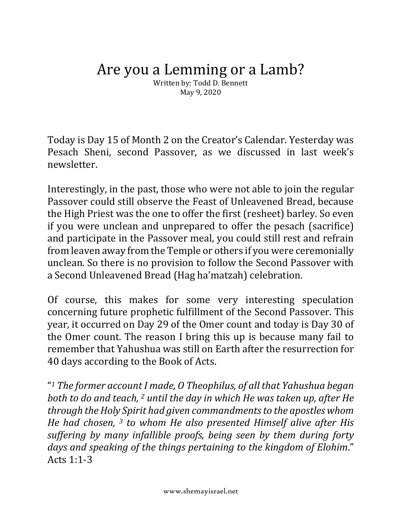## Are you a Lemming or a Lamb?

Written by: Todd D. Bennett May 9, 2020

Today is Day 15 of Month 2 on the Creator's Calendar. Yesterday was Pesach Sheni, second Passover, as we discussed in last week's newsletter.

Interestingly, in the past, those who were not able to join the regular Passover could still observe the Feast of Unleavened Bread, because the High Priest was the one to offer the first (resheet) barley. So even if you were unclean and unprepared to offer the pesach (sacrifice) and participate in the Passover meal, you could still rest and refrain from leaven away from the Temple or others if you were ceremonially unclean. So there is no provision to follow the Second Passover with a Second Unleavened Bread (Hag ha'matzah) celebration.

Of course, this makes for some very interesting speculation concerning future prophetic fulfillment of the Second Passover. This year, it occurred on Day 29 of the Omer count and today is Day 30 of the Omer count. The reason I bring this up is because many fail to remember that Yahushua was still on Earth after the resurrection for 40 days according to the Book of Acts.

"<sup>1</sup> The former account I made, O Theophilus, of all that Yahushua began *both* to do and teach, <sup>2</sup> *until the day in which He was taken up, after He through the Holy Spirit had given commandments to the apostles whom He had chosen,* <sup>3</sup> *to whom He also presented Himself alive after His* suffering by many infallible proofs, being seen by them during forty days and speaking of the things pertaining to the kingdom of Elohim." Acts  $1:1-3$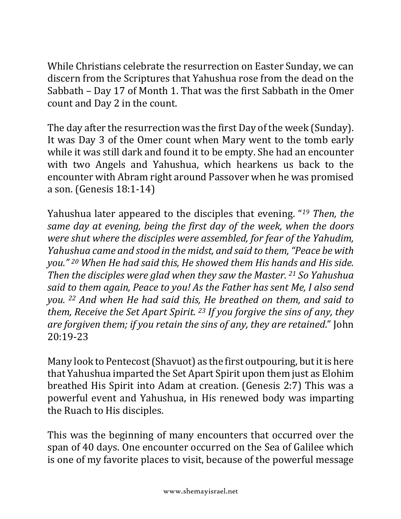While Christians celebrate the resurrection on Easter Sunday, we can discern from the Scriptures that Yahushua rose from the dead on the Sabbath - Day 17 of Month 1. That was the first Sabbath in the Omer count and Day 2 in the count.

The day after the resurrection was the first Day of the week (Sunday). It was Day 3 of the Omer count when Mary went to the tomb early while it was still dark and found it to be empty. She had an encounter with two Angels and Yahushua, which hearkens us back to the encounter with Abram right around Passover when he was promised a son. (Genesis 18:1-14)

Yahushua later appeared to the disciples that evening. "<sup>19</sup> *Then, the same day at evening, being the first day of the week, when the doors* were shut where the disciples were assembled, for fear of the Yahudim, *Yahushua came and stood in the midst, and said to them, "Peace be with you."* 20 When He had said this, He showed them His hands and His side. *Then the disciples were glad when they saw the Master.* 21 So Yahushua said to them again, Peace to you! As the Father has sent Me, I also send *you.* <sup>22</sup> *And* when He had said this, He breathed on them, and said to *them, Receive the Set Apart Spirit.* <sup>23</sup> *If you forgive the sins of any, they are forgiven them; if you retain the sins of any, they are retained."* John 20:19-23

Many look to Pentecost (Shavuot) as the first outpouring, but it is here that Yahushua imparted the Set Apart Spirit upon them just as Elohim breathed His Spirit into Adam at creation. (Genesis 2:7) This was a powerful event and Yahushua, in His renewed body was imparting the Ruach to His disciples.

This was the beginning of many encounters that occurred over the span of 40 days. One encounter occurred on the Sea of Galilee which is one of my favorite places to visit, because of the powerful message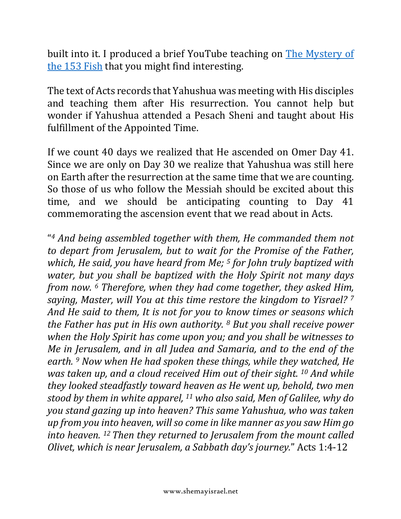built into it. I produced a brief YouTube teaching on The Mystery of the 153 Fish that you might find interesting.

The text of Acts records that Yahushua was meeting with His disciples and teaching them after His resurrection. You cannot help but wonder if Yahushua attended a Pesach Sheni and taught about His fulfillment of the Appointed Time.

If we count 40 days we realized that He ascended on Omer Day 41. Since we are only on Day 30 we realize that Yahushua was still here on Earth after the resurrection at the same time that we are counting. So those of us who follow the Messiah should be excited about this time, and we should be anticipating counting to Day 41 commemorating the ascension event that we read about in Acts.

"<sup>4</sup> And being assembled together with them, He commanded them not *to depart from Jerusalem, but to wait for the Promise of the Father, which, He said, you have heard from Me;* <sup>5</sup> *for John truly baptized with water, but you shall be baptized with the Holy Spirit not many days from now.* <sup>6</sup> *Therefore, when they had come together, they asked Him, saying, Master, will You at this time restore the kingdom to Yisrael?* 7 And He said to them, It is not for you to know times or seasons which *the Father has put in His own authority.* <sup>8</sup> *But you shall receive power* when the Holy Spirit has come upon you; and you shall be witnesses to *Me in Jerusalem, and in all Judea and Samaria, and to the end of the earth. 9* Now when He had spoken these things, while they watched, He *was taken up, and a cloud received Him out of their sight.* <sup>10</sup> *And while they looked steadfastly toward heaven as He went up, behold, two men stood by them in white apparel,* <sup>11</sup> who also said, Men of Galilee, why do *you stand gazing up into heaven?* This same Yahushua, who was taken *up* from you into heaven, will so come in like manner as you saw Him go *into heaven.* <sup>12</sup> *Then they returned to Jerusalem from the mount called Olivet, which is near Jerusalem, a Sabbath day's journey.*" Acts 1:4-12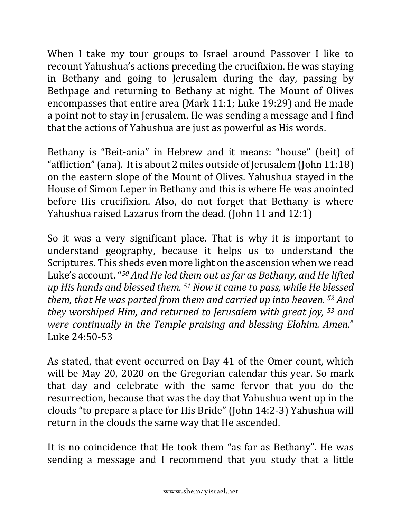When I take my tour groups to Israel around Passover I like to recount Yahushua's actions preceding the crucifixion. He was staying in Bethany and going to Jerusalem during the day, passing by Bethpage and returning to Bethany at night. The Mount of Olives encompasses that entire area (Mark 11:1; Luke 19:29) and He made a point not to stay in Jerusalem. He was sending a message and I find that the actions of Yahushua are just as powerful as His words.

Bethany is "Beit-ania" in Hebrew and it means: "house" (beit) of "affliction" (ana). It is about 2 miles outside of Jerusalem (John  $11:18$ ) on the eastern slope of the Mount of Olives. Yahushua stayed in the House of Simon Leper in Bethany and this is where He was anointed before His crucifixion. Also, do not forget that Bethany is where Yahushua raised Lazarus from the dead. (John 11 and 12:1)

So it was a very significant place. That is why it is important to understand geography, because it helps us to understand the Scriptures. This sheds even more light on the ascension when we read Luke's account. "<sup>50</sup> And He led them out as far as Bethany, and He lifted *up* His hands and blessed them. <sup>51</sup> Now it came to pass, while He blessed *them, that He was parted from them and carried up into heaven.*  $52$  *And they* worshiped Him, and returned to Jerusalem with great joy, <sup>53</sup> and *were continually in the Temple praising and blessing Elohim. Amen."* Luke 24:50-53

As stated, that event occurred on Day 41 of the Omer count, which will be May 20, 2020 on the Gregorian calendar this year. So mark that day and celebrate with the same fervor that you do the resurrection, because that was the day that Yahushua went up in the clouds "to prepare a place for His Bride" (John 14:2-3) Yahushua will return in the clouds the same way that He ascended.

It is no coincidence that He took them "as far as Bethany". He was sending a message and I recommend that you study that a little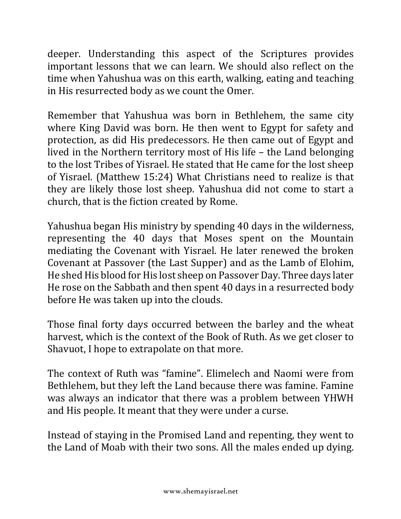deeper. Understanding this aspect of the Scriptures provides important lessons that we can learn. We should also reflect on the time when Yahushua was on this earth, walking, eating and teaching in His resurrected body as we count the Omer.

Remember that Yahushua was born in Bethlehem, the same city where King David was born. He then went to Egypt for safety and protection, as did His predecessors. He then came out of Egypt and lived in the Northern territory most of His life  $-$  the Land belonging to the lost Tribes of Yisrael. He stated that He came for the lost sheep of Yisrael. (Matthew 15:24) What Christians need to realize is that they are likely those lost sheep. Yahushua did not come to start a church, that is the fiction created by Rome.

Yahushua began His ministry by spending 40 days in the wilderness, representing the 40 days that Moses spent on the Mountain mediating the Covenant with Yisrael. He later renewed the broken Covenant at Passover (the Last Supper) and as the Lamb of Elohim, He shed His blood for His lost sheep on Passover Day. Three days later He rose on the Sabbath and then spent 40 days in a resurrected body before He was taken up into the clouds.

Those final forty days occurred between the barley and the wheat harvest, which is the context of the Book of Ruth. As we get closer to Shavuot, I hope to extrapolate on that more.

The context of Ruth was "famine". Elimelech and Naomi were from Bethlehem, but they left the Land because there was famine. Famine was always an indicator that there was a problem between YHWH and His people. It meant that they were under a curse.

Instead of staying in the Promised Land and repenting, they went to the Land of Moab with their two sons. All the males ended up dying.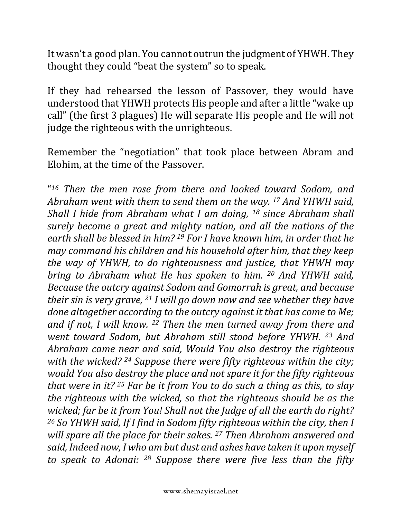It wasn't a good plan. You cannot outrun the judgment of YHWH. They thought they could "beat the system" so to speak.

If they had rehearsed the lesson of Passover, they would have understood that YHWH protects His people and after a little "wake up call" (the first 3 plagues) He will separate His people and He will not judge the righteous with the unrighteous.

Remember the "negotiation" that took place between Abram and Elohim, at the time of the Passover.

"<sup>16</sup> Then the men rose from there and looked toward Sodom, and *Abraham went with them to send them on the way.* <sup>17</sup> *And YHWH said, Shall I hide from Abraham what I am doing,* <sup>18</sup> since Abraham shall *surely become a great and mighty nation, and all the nations of the* earth shall be blessed in him? <sup>19</sup> For I have known him, in order that he *may command his children and his household after him, that they keep the* way of *YHWH*, to do righteousness and *justice*, that *YHWH* may *bring* to Abraham what He has spoken to him. <sup>20</sup> And YHWH said, *Because the outcry against Sodom and Gomorrah is great, and because their sin is very grave,* <sup>21</sup> *I* will go down now and see whether they have *done altogether according to the outcry against it that has come to Me;* and if not, I will know. <sup>22</sup> Then the men turned away from there and *went toward Sodom, but Abraham still stood before YHWH.* 23 And *Abraham came near and said, Would You also destroy the righteous with* the wicked? <sup>24</sup> Suppose there were fifty righteous within the city; *would You also destroy the place and not spare it for the fifty righteous that* were in it? <sup>25</sup> Far be it from You to do such a thing as this, to slay *the righteous with the wicked, so that the righteous should be as the wicked;* far be it from You! Shall not the Judge of all the earth do right? <sup>26</sup> So YHWH said, If I find in Sodom fifty righteous within the city, then I *will spare all the place for their sakes.* <sup>27</sup> *Then Abraham answered and* said, Indeed now, I who am but dust and ashes have taken it upon myself to speak to Adonai: <sup>28</sup> Suppose there were five less than the fifty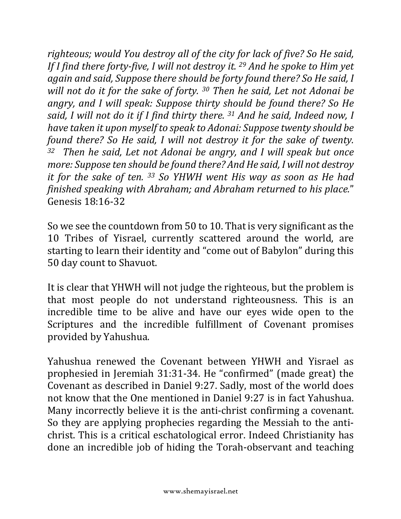*righteous;* would You destroy all of the city for lack of five? So He said, *If* I find there forty-five, I will not destroy it. <sup>29</sup> And he spoke to Him yet *again and said, Suppose there should be forty found there? So He said, I will not do it for the sake of forty.* <sup>30</sup> *Then he said, Let not Adonai be angry, and I will speak: Suppose thirty should be found there? So He said,* I will not do it if I find thirty there. <sup>31</sup> And he said, Indeed now, I *have taken it upon myself to speak to Adonai: Suppose twenty should be found there?* So He said, I will not destroy it for the sake of twenty. <sup>32</sup> *Then he said, Let not Adonai be angry, and I will speak but once more:* Suppose ten should be found there? And He said, I will not destroy *it for the sake of ten.* <sup>33</sup> So YHWH went His way as soon as He had *finished speaking with Abraham; and Abraham returned to his place."* Genesis 18:16-32

So we see the countdown from 50 to 10. That is very significant as the 10 Tribes of Yisrael, currently scattered around the world, are starting to learn their identity and "come out of Babylon" during this 50 day count to Shavuot.

It is clear that YHWH will not judge the righteous, but the problem is that most people do not understand righteousness. This is an incredible time to be alive and have our eyes wide open to the Scriptures and the incredible fulfillment of Covenant promises provided by Yahushua.

Yahushua renewed the Covenant between YHWH and Yisrael as prophesied in Jeremiah 31:31-34. He "confirmed" (made great) the Covenant as described in Daniel 9:27. Sadly, most of the world does not know that the One mentioned in Daniel 9:27 is in fact Yahushua. Many incorrectly believe it is the anti-christ confirming a covenant. So they are applying prophecies regarding the Messiah to the antichrist. This is a critical eschatological error. Indeed Christianity has done an incredible job of hiding the Torah-observant and teaching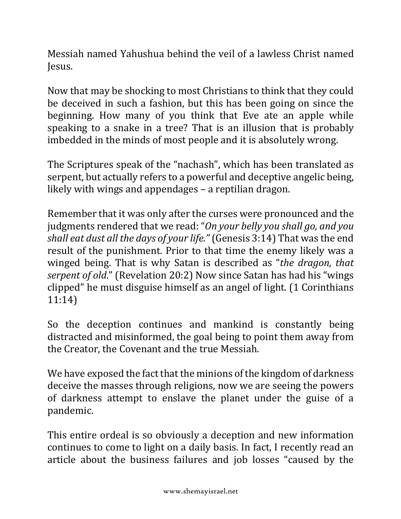Messiah named Yahushua behind the veil of a lawless Christ named Jesus.

Now that may be shocking to most Christians to think that they could be deceived in such a fashion, but this has been going on since the beginning. How many of you think that Eve ate an apple while speaking to a snake in a tree? That is an illusion that is probably imbedded in the minds of most people and it is absolutely wrong.

The Scriptures speak of the "nachash", which has been translated as serpent, but actually refers to a powerful and deceptive angelic being. likely with wings and appendages  $-$  a reptilian dragon.

Remember that it was only after the curses were pronounced and the judgments rendered that we read: "On your belly you shall go, and you *shall eat dust all the days of your life."* (Genesis 3:14) That was the end result of the punishment. Prior to that time the enemy likely was a winged being. That is why Satan is described as "*the dragon, that serpent of old.*" (Revelation 20:2) Now since Satan has had his "wings clipped" he must disguise himself as an angel of light. (1 Corinthians 11:14)

So the deception continues and mankind is constantly being distracted and misinformed, the goal being to point them away from the Creator, the Covenant and the true Messiah.

We have exposed the fact that the minions of the kingdom of darkness deceive the masses through religions, now we are seeing the powers of darkness attempt to enslave the planet under the guise of a pandemic.

This entire ordeal is so obviously a deception and new information continues to come to light on a daily basis. In fact, I recently read an article about the business failures and job losses "caused by the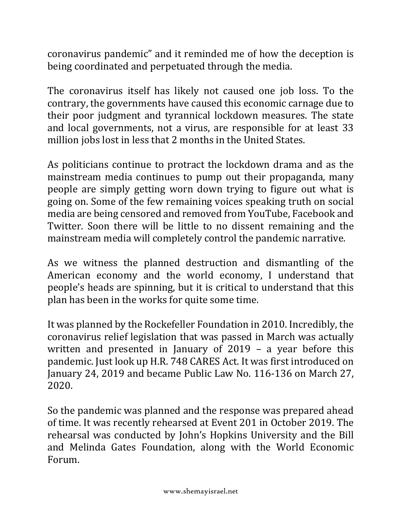coronavirus pandemic" and it reminded me of how the deception is being coordinated and perpetuated through the media.

The coronavirus itself has likely not caused one job loss. To the contrary, the governments have caused this economic carnage due to their poor judgment and tyrannical lockdown measures. The state and local governments, not a virus, are responsible for at least 33 million jobs lost in less that 2 months in the United States.

As politicians continue to protract the lockdown drama and as the mainstream media continues to pump out their propaganda, many people are simply getting worn down trying to figure out what is going on. Some of the few remaining voices speaking truth on social media are being censored and removed from YouTube, Facebook and Twitter. Soon there will be little to no dissent remaining and the mainstream media will completely control the pandemic narrative.

As we witness the planned destruction and dismantling of the American economy and the world economy, I understand that people's heads are spinning, but it is critical to understand that this plan has been in the works for quite some time.

It was planned by the Rockefeller Foundation in 2010. Incredibly, the coronavirus relief legislation that was passed in March was actually written and presented in January of  $2019 - a$  year before this pandemic. Just look up H.R. 748 CARES Act. It was first introduced on January 24, 2019 and became Public Law No. 116-136 on March 27, 2020.

So the pandemic was planned and the response was prepared ahead of time. It was recently rehearsed at Event 201 in October 2019. The rehearsal was conducted by John's Hopkins University and the Bill and Melinda Gates Foundation, along with the World Economic Forum.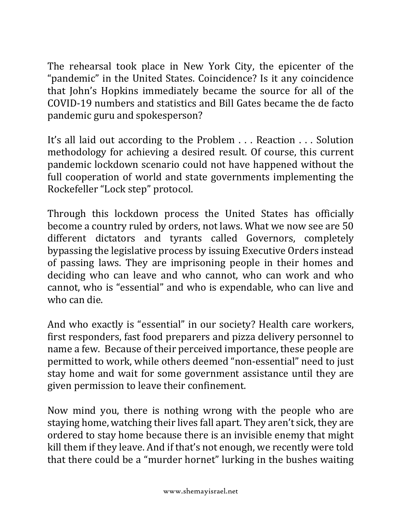The rehearsal took place in New York City, the epicenter of the "pandemic" in the United States. Coincidence? Is it any coincidence that John's Hopkins immediately became the source for all of the COVID-19 numbers and statistics and Bill Gates became the de facto pandemic guru and spokesperson?

It's all laid out according to the Problem ... Reaction ... Solution methodology for achieving a desired result. Of course, this current pandemic lockdown scenario could not have happened without the full cooperation of world and state governments implementing the Rockefeller "Lock step" protocol.

Through this lockdown process the United States has officially become a country ruled by orders, not laws. What we now see are 50 different dictators and tyrants called Governors, completely bypassing the legislative process by issuing Executive Orders instead of passing laws. They are imprisoning people in their homes and deciding who can leave and who cannot, who can work and who cannot, who is "essential" and who is expendable, who can live and who can die.

And who exactly is "essential" in our society? Health care workers, first responders, fast food preparers and pizza delivery personnel to name a few. Because of their perceived importance, these people are permitted to work, while others deemed "non-essential" need to just stay home and wait for some government assistance until they are given permission to leave their confinement.

Now mind you, there is nothing wrong with the people who are staying home, watching their lives fall apart. They aren't sick, they are ordered to stay home because there is an invisible enemy that might kill them if they leave. And if that's not enough, we recently were told that there could be a "murder hornet" lurking in the bushes waiting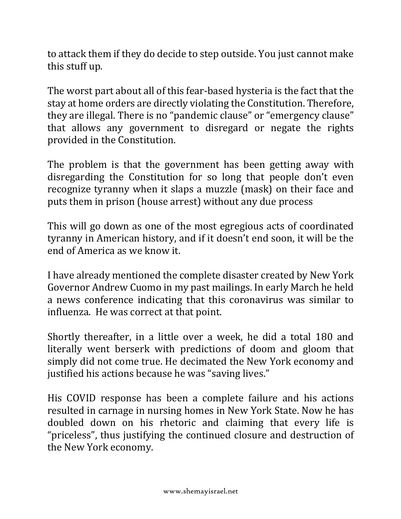to attack them if they do decide to step outside. You just cannot make this stuff up.

The worst part about all of this fear-based hysteria is the fact that the stay at home orders are directly violating the Constitution. Therefore, they are illegal. There is no "pandemic clause" or "emergency clause" that allows any government to disregard or negate the rights provided in the Constitution.

The problem is that the government has been getting away with disregarding the Constitution for so long that people don't even recognize tyranny when it slaps a muzzle (mask) on their face and puts them in prison (house arrest) without any due process

This will go down as one of the most egregious acts of coordinated tyranny in American history, and if it doesn't end soon, it will be the end of America as we know it.

I have already mentioned the complete disaster created by New York Governor Andrew Cuomo in my past mailings. In early March he held a news conference indicating that this coronavirus was similar to influenza. He was correct at that point.

Shortly thereafter, in a little over a week, he did a total 180 and literally went berserk with predictions of doom and gloom that simply did not come true. He decimated the New York economy and justified his actions because he was "saving lives."

His COVID response has been a complete failure and his actions resulted in carnage in nursing homes in New York State. Now he has doubled down on his rhetoric and claiming that every life is "priceless", thus justifying the continued closure and destruction of the New York economy.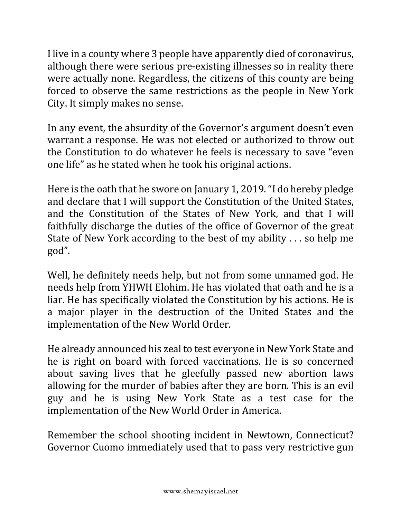I live in a county where 3 people have apparently died of coronavirus, although there were serious pre-existing illnesses so in reality there were actually none. Regardless, the citizens of this county are being forced to observe the same restrictions as the people in New York City. It simply makes no sense.

In any event, the absurdity of the Governor's argument doesn't even warrant a response. He was not elected or authorized to throw out the Constitution to do whatever he feels is necessary to save "even" one life" as he stated when he took his original actions.

Here is the oath that he swore on January 1, 2019. "I do hereby pledge and declare that I will support the Constitution of the United States, and the Constitution of the States of New York, and that I will faithfully discharge the duties of the office of Governor of the great State of New York according to the best of my ability  $\dots$  so help me god".

Well, he definitely needs help, but not from some unnamed god. He needs help from YHWH Elohim. He has violated that oath and he is a liar. He has specifically violated the Constitution by his actions. He is a major player in the destruction of the United States and the implementation of the New World Order.

He already announced his zeal to test everyone in New York State and he is right on board with forced vaccinations. He is so concerned about saving lives that he gleefully passed new abortion laws allowing for the murder of babies after they are born. This is an evil guy and he is using New York State as a test case for the implementation of the New World Order in America.

Remember the school shooting incident in Newtown, Connecticut? Governor Cuomo immediately used that to pass very restrictive gun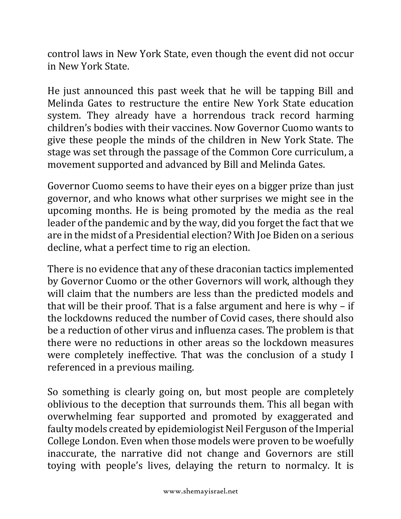control laws in New York State, even though the event did not occur in New York State. 

He just announced this past week that he will be tapping Bill and Melinda Gates to restructure the entire New York State education system. They already have a horrendous track record harming children's bodies with their vaccines. Now Governor Cuomo wants to give these people the minds of the children in New York State. The stage was set through the passage of the Common Core curriculum, a movement supported and advanced by Bill and Melinda Gates.

Governor Cuomo seems to have their eyes on a bigger prize than just governor, and who knows what other surprises we might see in the upcoming months. He is being promoted by the media as the real leader of the pandemic and by the way, did you forget the fact that we are in the midst of a Presidential election? With Joe Biden on a serious decline, what a perfect time to rig an election.

There is no evidence that any of these draconian tactics implemented by Governor Cuomo or the other Governors will work, although they will claim that the numbers are less than the predicted models and that will be their proof. That is a false argument and here is why  $-$  if the lockdowns reduced the number of Covid cases, there should also be a reduction of other virus and influenza cases. The problem is that there were no reductions in other areas so the lockdown measures were completely ineffective. That was the conclusion of a study I referenced in a previous mailing.

So something is clearly going on, but most people are completely oblivious to the deception that surrounds them. This all began with overwhelming fear supported and promoted by exaggerated and faulty models created by epidemiologist Neil Ferguson of the Imperial College London. Even when those models were proven to be woefully inaccurate, the narrative did not change and Governors are still toying with people's lives, delaying the return to normalcy. It is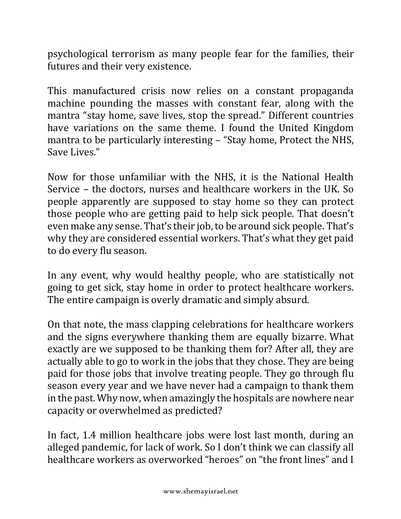psychological terrorism as many people fear for the families, their futures and their very existence.

This manufactured crisis now relies on a constant propaganda machine pounding the masses with constant fear, along with the mantra "stay home, save lives, stop the spread." Different countries have variations on the same theme. I found the United Kingdom mantra to be particularly interesting – "Stay home, Protect the NHS, Save Lives."

Now for those unfamiliar with the NHS, it is the National Health Service – the doctors, nurses and healthcare workers in the UK. So people apparently are supposed to stay home so they can protect those people who are getting paid to help sick people. That doesn't even make any sense. That's their job, to be around sick people. That's why they are considered essential workers. That's what they get paid to do every flu season.

In any event, why would healthy people, who are statistically not going to get sick, stay home in order to protect healthcare workers. The entire campaign is overly dramatic and simply absurd.

On that note, the mass clapping celebrations for healthcare workers and the signs everywhere thanking them are equally bizarre. What exactly are we supposed to be thanking them for? After all, they are actually able to go to work in the jobs that they chose. They are being paid for those jobs that involve treating people. They go through flu season every year and we have never had a campaign to thank them in the past. Why now, when amazingly the hospitals are nowhere near capacity or overwhelmed as predicted?

In fact, 1.4 million healthcare jobs were lost last month, during an alleged pandemic, for lack of work. So I don't think we can classify all healthcare workers as overworked "heroes" on "the front lines" and I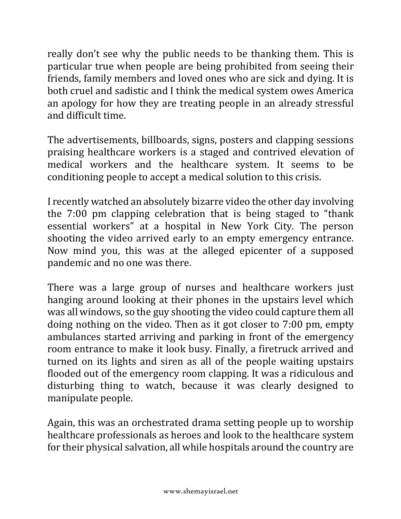really don't see why the public needs to be thanking them. This is particular true when people are being prohibited from seeing their friends, family members and loved ones who are sick and dying. It is both cruel and sadistic and I think the medical system owes America an apology for how they are treating people in an already stressful and difficult time.

The advertisements, billboards, signs, posters and clapping sessions praising healthcare workers is a staged and contrived elevation of medical workers and the healthcare system. It seems to be conditioning people to accept a medical solution to this crisis.

I recently watched an absolutely bizarre video the other day involving the  $7:00$  pm clapping celebration that is being staged to "thank" essential workers" at a hospital in New York City. The person shooting the video arrived early to an empty emergency entrance. Now mind you, this was at the alleged epicenter of a supposed pandemic and no one was there.

There was a large group of nurses and healthcare workers just hanging around looking at their phones in the upstairs level which was all windows, so the guy shooting the video could capture them all doing nothing on the video. Then as it got closer to 7:00 pm, empty ambulances started arriving and parking in front of the emergency room entrance to make it look busy. Finally, a firetruck arrived and turned on its lights and siren as all of the people waiting upstairs flooded out of the emergency room clapping. It was a ridiculous and disturbing thing to watch, because it was clearly designed to manipulate people.

Again, this was an orchestrated drama setting people up to worship healthcare professionals as heroes and look to the healthcare system for their physical salvation, all while hospitals around the country are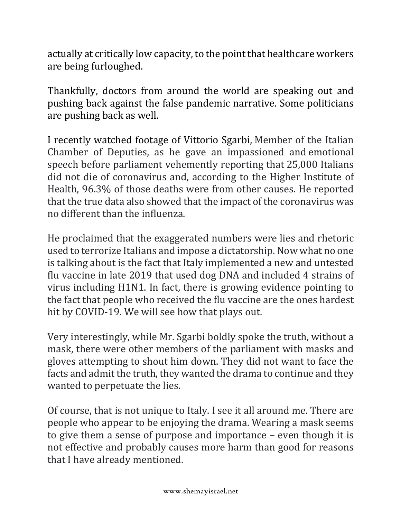actually at critically low capacity, to the point that healthcare workers are being furloughed.

Thankfully, doctors from around the world are speaking out and pushing back against the false pandemic narrative. Some politicians are pushing back as well.

I recently watched footage of Vittorio Sgarbi, Member of the Italian Chamber of Deputies, as he gave an impassioned and emotional speech before parliament vehemently reporting that 25,000 Italians did not die of coronavirus and, according to the Higher Institute of Health, 96.3% of those deaths were from other causes. He reported that the true data also showed that the impact of the coronavirus was no different than the influenza.

He proclaimed that the exaggerated numbers were lies and rhetoric used to terrorize Italians and impose a dictatorship. Now what no one is talking about is the fact that Italy implemented a new and untested flu vaccine in late 2019 that used dog DNA and included 4 strains of virus including H1N1. In fact, there is growing evidence pointing to the fact that people who received the flu vaccine are the ones hardest hit by COVID-19. We will see how that plays out.

Very interestingly, while Mr. Sgarbi boldly spoke the truth, without a mask, there were other members of the parliament with masks and gloves attempting to shout him down. They did not want to face the facts and admit the truth, they wanted the drama to continue and they wanted to perpetuate the lies.

Of course, that is not unique to Italy. I see it all around me. There are people who appear to be enjoying the drama. Wearing a mask seems to give them a sense of purpose and importance  $-$  even though it is not effective and probably causes more harm than good for reasons that I have already mentioned.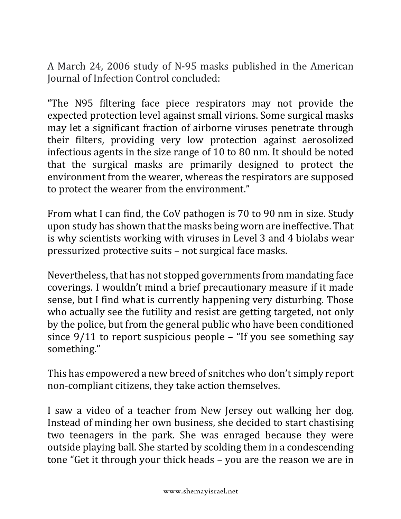A March 24, 2006 study of N-95 masks published in the American Journal of Infection Control concluded:

"The N95 filtering face piece respirators may not provide the expected protection level against small virions. Some surgical masks may let a significant fraction of airborne viruses penetrate through their filters, providing very low protection against aerosolized infectious agents in the size range of  $10$  to  $80$  nm. It should be noted that the surgical masks are primarily designed to protect the environment from the wearer, whereas the respirators are supposed to protect the wearer from the environment."

From what I can find, the CoV pathogen is 70 to 90 nm in size. Study upon study has shown that the masks being worn are ineffective. That is why scientists working with viruses in Level 3 and 4 biolabs wear pressurized protective suits - not surgical face masks.

Nevertheless, that has not stopped governments from mandating face coverings. I wouldn't mind a brief precautionary measure if it made sense, but I find what is currently happening very disturbing. Those who actually see the futility and resist are getting targeted, not only by the police, but from the general public who have been conditioned since  $9/11$  to report suspicious people  $-$  "If you see something say something."

This has empowered a new breed of snitches who don't simply report non-compliant citizens, they take action themselves.

I saw a video of a teacher from New Jersey out walking her dog. Instead of minding her own business, she decided to start chastising two teenagers in the park. She was enraged because they were outside playing ball. She started by scolding them in a condescending tone "Get it through your thick heads - you are the reason we are in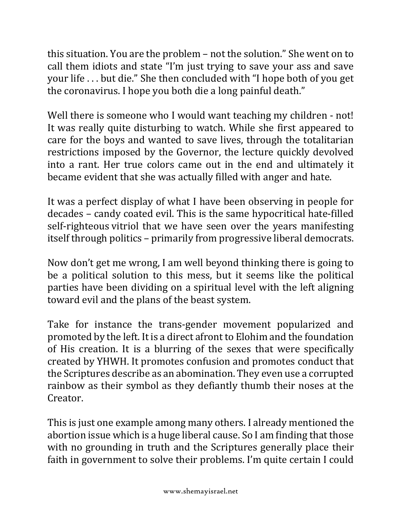this situation. You are the problem  $-$  not the solution." She went on to call them idiots and state "I'm just trying to save your ass and save your life ... but die." She then concluded with "I hope both of you get the coronavirus. I hope you both die a long painful death."

Well there is someone who I would want teaching my children - not! It was really quite disturbing to watch. While she first appeared to care for the boys and wanted to save lives, through the totalitarian restrictions imposed by the Governor, the lecture quickly devolved into a rant. Her true colors came out in the end and ultimately it became evident that she was actually filled with anger and hate.

It was a perfect display of what I have been observing in people for decades – candy coated evil. This is the same hypocritical hate-filled self-righteous vitriol that we have seen over the years manifesting itself through politics – primarily from progressive liberal democrats.

Now don't get me wrong, I am well beyond thinking there is going to be a political solution to this mess, but it seems like the political parties have been dividing on a spiritual level with the left aligning toward evil and the plans of the beast system.

Take for instance the trans-gender movement popularized and promoted by the left. It is a direct afront to Elohim and the foundation of His creation. It is a blurring of the sexes that were specifically created by YHWH. It promotes confusion and promotes conduct that the Scriptures describe as an abomination. They even use a corrupted rainbow as their symbol as they defiantly thumb their noses at the Creator.

This is just one example among many others. I already mentioned the abortion issue which is a huge liberal cause. So I am finding that those with no grounding in truth and the Scriptures generally place their faith in government to solve their problems. I'm quite certain I could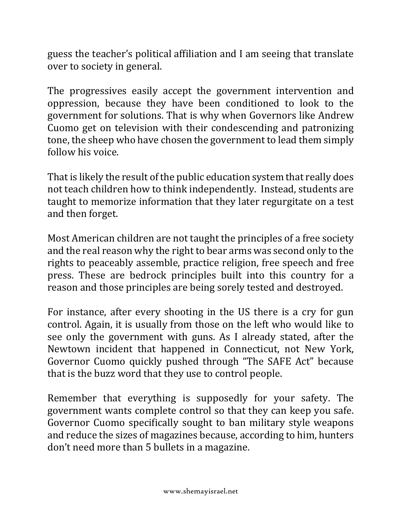guess the teacher's political affiliation and I am seeing that translate over to society in general.

The progressives easily accept the government intervention and oppression, because they have been conditioned to look to the government for solutions. That is why when Governors like Andrew Cuomo get on television with their condescending and patronizing tone, the sheep who have chosen the government to lead them simply follow his voice.

That is likely the result of the public education system that really does not teach children how to think independently. Instead, students are taught to memorize information that they later regurgitate on a test and then forget.

Most American children are not taught the principles of a free society and the real reason why the right to bear arms was second only to the rights to peaceably assemble, practice religion, free speech and free press. These are bedrock principles built into this country for a reason and those principles are being sorely tested and destroyed.

For instance, after every shooting in the US there is a cry for gun control. Again, it is usually from those on the left who would like to see only the government with guns. As I already stated, after the Newtown incident that happened in Connecticut, not New York, Governor Cuomo quickly pushed through "The SAFE Act" because that is the buzz word that they use to control people.

Remember that everything is supposedly for your safety. The government wants complete control so that they can keep you safe. Governor Cuomo specifically sought to ban military style weapons and reduce the sizes of magazines because, according to him, hunters don't need more than 5 bullets in a magazine.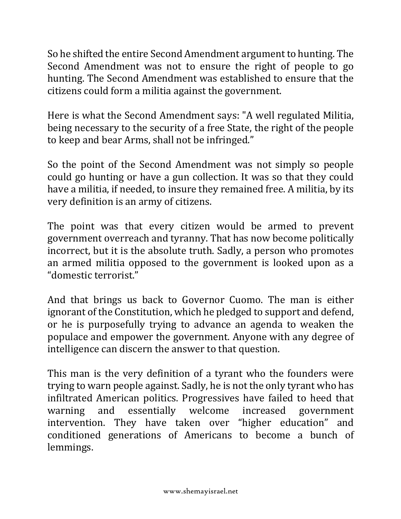So he shifted the entire Second Amendment argument to hunting. The Second Amendment was not to ensure the right of people to go hunting. The Second Amendment was established to ensure that the citizens could form a militia against the government.

Here is what the Second Amendment says: "A well regulated Militia, being necessary to the security of a free State, the right of the people to keep and bear Arms, shall not be infringed."

So the point of the Second Amendment was not simply so people could go hunting or have a gun collection. It was so that they could have a militia, if needed, to insure they remained free. A militia, by its very definition is an army of citizens.

The point was that every citizen would be armed to prevent government overreach and tyranny. That has now become politically incorrect, but it is the absolute truth. Sadly, a person who promotes an armed militia opposed to the government is looked upon as a "domestic terrorist."

And that brings us back to Governor Cuomo. The man is either ignorant of the Constitution, which he pledged to support and defend, or he is purposefully trying to advance an agenda to weaken the populace and empower the government. Anyone with any degree of intelligence can discern the answer to that question.

This man is the very definition of a tyrant who the founders were trying to warn people against. Sadly, he is not the only tyrant who has infiltrated American politics. Progressives have failed to heed that warning and essentially welcome increased government intervention. They have taken over "higher education" and conditioned generations of Americans to become a bunch of lemmings.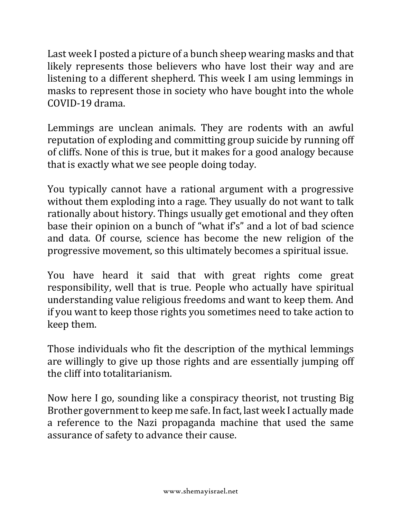Last week I posted a picture of a bunch sheep wearing masks and that likely represents those believers who have lost their way and are listening to a different shepherd. This week I am using lemmings in masks to represent those in society who have bought into the whole COVID-19 drama.

Lemmings are unclean animals. They are rodents with an awful reputation of exploding and committing group suicide by running off of cliffs. None of this is true, but it makes for a good analogy because that is exactly what we see people doing today.

You typically cannot have a rational argument with a progressive without them exploding into a rage. They usually do not want to talk rationally about history. Things usually get emotional and they often base their opinion on a bunch of "what if's" and a lot of bad science and data. Of course, science has become the new religion of the progressive movement, so this ultimately becomes a spiritual issue.

You have heard it said that with great rights come great responsibility, well that is true. People who actually have spiritual understanding value religious freedoms and want to keep them. And if you want to keep those rights you sometimes need to take action to keep them. 

Those individuals who fit the description of the mythical lemmings are willingly to give up those rights and are essentially jumping off the cliff into totalitarianism.

Now here I go, sounding like a conspiracy theorist, not trusting Big Brother government to keep me safe. In fact, last week I actually made a reference to the Nazi propaganda machine that used the same assurance of safety to advance their cause.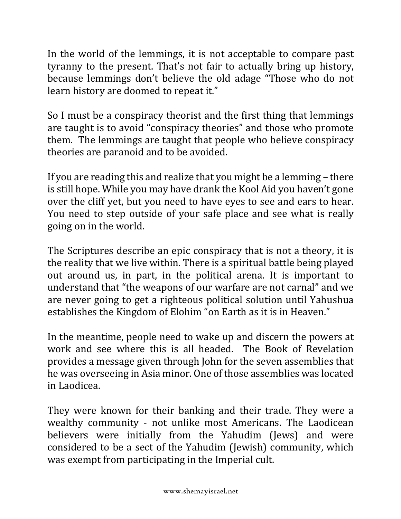In the world of the lemmings, it is not acceptable to compare past tyranny to the present. That's not fair to actually bring up history, because lemmings don't believe the old adage "Those who do not learn history are doomed to repeat it."

So I must be a conspiracy theorist and the first thing that lemmings are taught is to avoid "conspiracy theories" and those who promote them. The lemmings are taught that people who believe conspiracy theories are paranoid and to be avoided.

If you are reading this and realize that you might be a lemming  $-$  there is still hope. While you may have drank the Kool Aid you haven't gone over the cliff yet, but you need to have eyes to see and ears to hear. You need to step outside of your safe place and see what is really going on in the world.

The Scriptures describe an epic conspiracy that is not a theory, it is the reality that we live within. There is a spiritual battle being played out around us, in part, in the political arena. It is important to understand that "the weapons of our warfare are not carnal" and we are never going to get a righteous political solution until Yahushua establishes the Kingdom of Elohim "on Earth as it is in Heaven."

In the meantime, people need to wake up and discern the powers at work and see where this is all headed. The Book of Revelation provides a message given through John for the seven assemblies that he was overseeing in Asia minor. One of those assemblies was located in Laodicea.

They were known for their banking and their trade. They were a wealthy community - not unlike most Americans. The Laodicean believers were initially from the Yahudim (Jews) and were considered to be a sect of the Yahudim (Jewish) community, which was exempt from participating in the Imperial cult.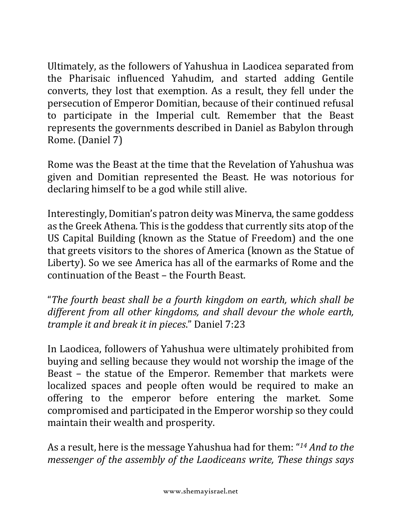Ultimately, as the followers of Yahushua in Laodicea separated from the Pharisaic influenced Yahudim, and started adding Gentile converts, they lost that exemption. As a result, they fell under the persecution of Emperor Domitian, because of their continued refusal to participate in the Imperial cult. Remember that the Beast represents the governments described in Daniel as Babylon through Rome. (Daniel 7)

Rome was the Beast at the time that the Revelation of Yahushua was given and Domitian represented the Beast. He was notorious for declaring himself to be a god while still alive.

Interestingly, Domitian's patron deity was Minerva, the same goddess as the Greek Athena. This is the goddess that currently sits atop of the US Capital Building (known as the Statue of Freedom) and the one that greets visitors to the shores of America (known as the Statue of Liberty). So we see America has all of the earmarks of Rome and the continuation of the Beast – the Fourth Beast.

"The fourth beast shall be a fourth kingdom on earth, which shall be *different from all other kingdoms, and shall devour the whole earth, trample it and break it in pieces*." Daniel 7:23

In Laodicea, followers of Yahushua were ultimately prohibited from buying and selling because they would not worship the image of the Beast – the statue of the Emperor. Remember that markets were localized spaces and people often would be required to make an offering to the emperor before entering the market. Some compromised and participated in the Emperor worship so they could maintain their wealth and prosperity.

As a result, here is the message Yahushua had for them: "<sup>14</sup> *And to the messenger of the assembly of the Laodiceans write, These things says*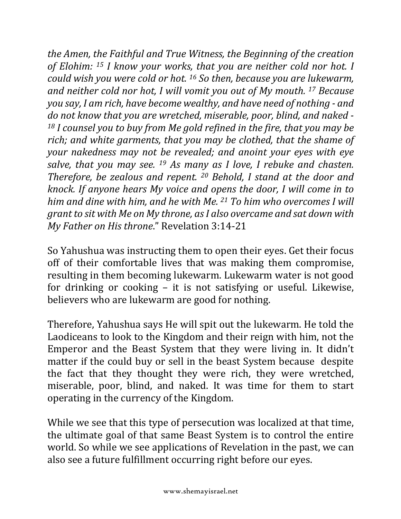*the Amen, the Faithful and True Witness, the Beginning of the creation* of Elohim: <sup>15</sup> *I* know your works, that you are neither cold nor hot. I *could* wish you were cold or hot. <sup>16</sup> So then, because you are lukewarm, *and neither cold nor hot, I will vomit you out of My mouth.* <sup>17</sup> *Because you say, I am rich, have become wealthy, and have need of nothing - and* do not know that you are wretched, miserable, poor, blind, and naked -<sup>18</sup> *I* counsel you to buy from Me gold refined in the fire, that you may be rich; and white garments, that you may be clothed, that the shame of *your* nakedness may not be revealed; and anoint your eyes with eye *salve, that you may see.* <sup>19</sup> *As many as I love, I rebuke and chasten. Therefore, be zealous and repent.* <sup>20</sup> *Behold, I stand at the door and knock.* If anyone hears My voice and opens the door, I will come in to *him and dine with him, and he with Me.* <sup>21</sup> *To him who overcomes I will grant to sit with Me on My throne, as I also overcame and sat down with My Father on His throne."* Revelation 3:14-21

So Yahushua was instructing them to open their eyes. Get their focus off of their comfortable lives that was making them compromise, resulting in them becoming lukewarm. Lukewarm water is not good for drinking or cooking  $-$  it is not satisfying or useful. Likewise, believers who are lukewarm are good for nothing.

Therefore, Yahushua says He will spit out the lukewarm. He told the Laodiceans to look to the Kingdom and their reign with him, not the Emperor and the Beast System that they were living in. It didn't matter if the could buy or sell in the beast System because despite the fact that they thought they were rich, they were wretched, miserable, poor, blind, and naked. It was time for them to start operating in the currency of the Kingdom.

While we see that this type of persecution was localized at that time, the ultimate goal of that same Beast System is to control the entire world. So while we see applications of Revelation in the past, we can also see a future fulfillment occurring right before our eyes.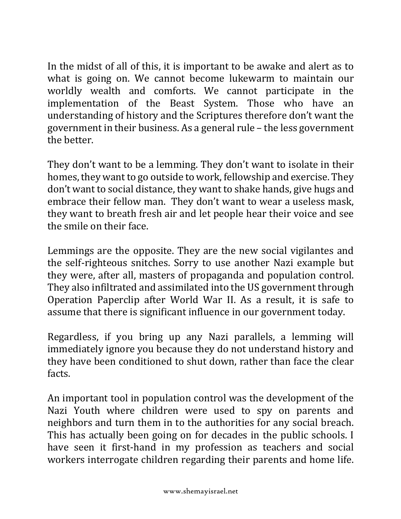In the midst of all of this, it is important to be awake and alert as to what is going on. We cannot become lukewarm to maintain our worldly wealth and comforts. We cannot participate in the implementation of the Beast System. Those who have an understanding of history and the Scriptures therefore don't want the government in their business. As a general rule – the less government the better.

They don't want to be a lemming. They don't want to isolate in their homes, they want to go outside to work, fellowship and exercise. They don't want to social distance, they want to shake hands, give hugs and embrace their fellow man. They don't want to wear a useless mask, they want to breath fresh air and let people hear their voice and see the smile on their face.

Lemmings are the opposite. They are the new social vigilantes and the self-righteous snitches. Sorry to use another Nazi example but they were, after all, masters of propaganda and population control. They also infiltrated and assimilated into the US government through Operation Paperclip after World War II. As a result, it is safe to assume that there is significant influence in our government today.

Regardless, if you bring up any Nazi parallels, a lemming will immediately ignore you because they do not understand history and they have been conditioned to shut down, rather than face the clear facts. 

An important tool in population control was the development of the Nazi Youth where children were used to spy on parents and neighbors and turn them in to the authorities for any social breach. This has actually been going on for decades in the public schools. I have seen it first-hand in my profession as teachers and social workers interrogate children regarding their parents and home life.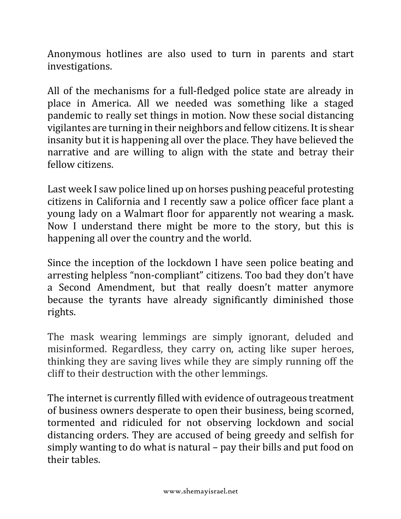Anonymous hotlines are also used to turn in parents and start investigations.

All of the mechanisms for a full-fledged police state are already in place in America. All we needed was something like a staged pandemic to really set things in motion. Now these social distancing vigilantes are turning in their neighbors and fellow citizens. It is shear insanity but it is happening all over the place. They have believed the narrative and are willing to align with the state and betray their fellow citizens.

Last week I saw police lined up on horses pushing peaceful protesting citizens in California and I recently saw a police officer face plant a young lady on a Walmart floor for apparently not wearing a mask. Now I understand there might be more to the story, but this is happening all over the country and the world.

Since the inception of the lockdown I have seen police beating and arresting helpless "non-compliant" citizens. Too bad they don't have a Second Amendment, but that really doesn't matter anymore because the tyrants have already significantly diminished those rights.

The mask wearing lemmings are simply ignorant, deluded and misinformed. Regardless, they carry on, acting like super heroes, thinking they are saving lives while they are simply running off the cliff to their destruction with the other lemmings.

The internet is currently filled with evidence of outrageous treatment of business owners desperate to open their business, being scorned, tormented and ridiculed for not observing lockdown and social distancing orders. They are accused of being greedy and selfish for simply wanting to do what is natural  $-$  pay their bills and put food on their tables.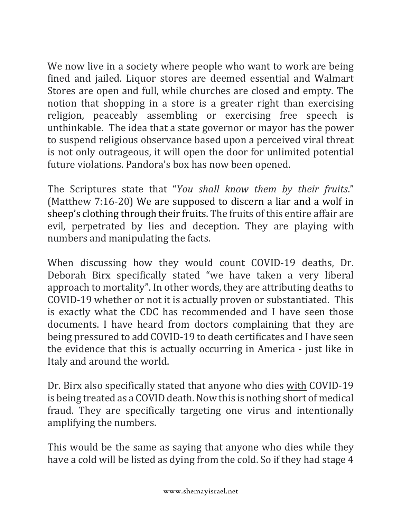We now live in a society where people who want to work are being fined and jailed. Liquor stores are deemed essential and Walmart Stores are open and full, while churches are closed and empty. The notion that shopping in a store is a greater right than exercising religion, peaceably assembling or exercising free speech is unthinkable. The idea that a state governor or mayor has the power to suspend religious observance based upon a perceived viral threat is not only outrageous, it will open the door for unlimited potential future violations. Pandora's box has now been opened.

The Scriptures state that "*You shall know them by their fruits*." (Matthew  $7:16-20$ ) We are supposed to discern a liar and a wolf in sheep's clothing through their fruits. The fruits of this entire affair are evil, perpetrated by lies and deception. They are playing with numbers and manipulating the facts.

When discussing how they would count COVID-19 deaths, Dr. Deborah Birx specifically stated "we have taken a very liberal approach to mortality". In other words, they are attributing deaths to COVID-19 whether or not it is actually proven or substantiated. This is exactly what the CDC has recommended and I have seen those documents. I have heard from doctors complaining that they are being pressured to add COVID-19 to death certificates and I have seen the evidence that this is actually occurring in America - just like in Italy and around the world.

Dr. Birx also specifically stated that anyone who dies with COVID-19 is being treated as a COVID death. Now this is nothing short of medical fraud. They are specifically targeting one virus and intentionally amplifying the numbers.

This would be the same as saying that anyone who dies while they have a cold will be listed as dying from the cold. So if they had stage 4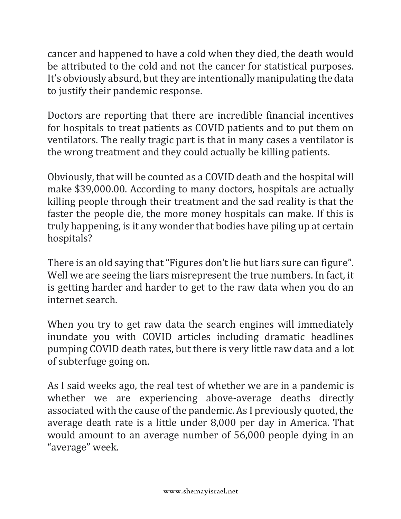cancer and happened to have a cold when they died, the death would be attributed to the cold and not the cancer for statistical purposes. It's obviously absurd, but they are intentionally manipulating the data to justify their pandemic response.

Doctors are reporting that there are incredible financial incentives for hospitals to treat patients as COVID patients and to put them on ventilators. The really tragic part is that in many cases a ventilator is the wrong treatment and they could actually be killing patients.

Obviously, that will be counted as a COVID death and the hospital will make \$39,000.00. According to many doctors, hospitals are actually killing people through their treatment and the sad reality is that the faster the people die, the more money hospitals can make. If this is truly happening, is it any wonder that bodies have piling up at certain hospitals?

There is an old saying that "Figures don't lie but liars sure can figure". Well we are seeing the liars misrepresent the true numbers. In fact, it is getting harder and harder to get to the raw data when you do an internet search.

When you try to get raw data the search engines will immediately inundate you with COVID articles including dramatic headlines pumping COVID death rates, but there is very little raw data and a lot of subterfuge going on.

As I said weeks ago, the real test of whether we are in a pandemic is whether we are experiencing above-average deaths directly associated with the cause of the pandemic. As I previously quoted, the average death rate is a little under 8,000 per day in America. That would amount to an average number of 56,000 people dying in an "average" week.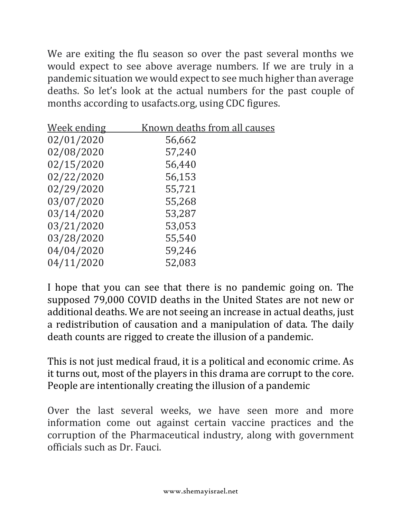We are exiting the flu season so over the past several months we would expect to see above average numbers. If we are truly in a pandemic situation we would expect to see much higher than average deaths. So let's look at the actual numbers for the past couple of months according to usafacts.org, using CDC figures.

| <u>Week ending</u> | Known deaths from all causes |
|--------------------|------------------------------|
| 02/01/2020         | 56,662                       |
| 02/08/2020         | 57,240                       |
| 02/15/2020         | 56,440                       |
| 02/22/2020         | 56,153                       |
| 02/29/2020         | 55,721                       |
| 03/07/2020         | 55,268                       |
| 03/14/2020         | 53,287                       |
| 03/21/2020         | 53,053                       |
| 03/28/2020         | 55,540                       |
| 04/04/2020         | 59,246                       |
| 04/11/2020         | 52,083                       |

I hope that you can see that there is no pandemic going on. The supposed 79,000 COVID deaths in the United States are not new or additional deaths. We are not seeing an increase in actual deaths, just a redistribution of causation and a manipulation of data. The daily death counts are rigged to create the illusion of a pandemic.

This is not just medical fraud, it is a political and economic crime. As it turns out, most of the players in this drama are corrupt to the core. People are intentionally creating the illusion of a pandemic

Over the last several weeks, we have seen more and more information come out against certain vaccine practices and the corruption of the Pharmaceutical industry, along with government officials such as Dr. Fauci.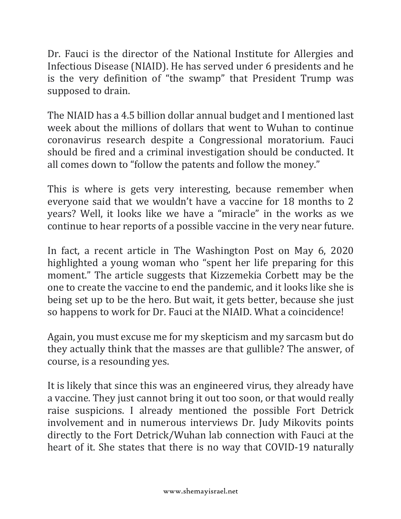Dr. Fauci is the director of the National Institute for Allergies and Infectious Disease (NIAID). He has served under 6 presidents and he is the very definition of "the swamp" that President Trump was supposed to drain.

The NIAID has a 4.5 billion dollar annual budget and I mentioned last week about the millions of dollars that went to Wuhan to continue coronavirus research despite a Congressional moratorium. Fauci should be fired and a criminal investigation should be conducted. It all comes down to "follow the patents and follow the money."

This is where is gets very interesting, because remember when everyone said that we wouldn't have a vaccine for 18 months to 2 years? Well, it looks like we have a "miracle" in the works as we continue to hear reports of a possible vaccine in the very near future.

In fact, a recent article in The Washington Post on May 6, 2020 highlighted a young woman who "spent her life preparing for this moment." The article suggests that Kizzemekia Corbett may be the one to create the vaccine to end the pandemic, and it looks like she is being set up to be the hero. But wait, it gets better, because she just so happens to work for Dr. Fauci at the NIAID. What a coincidence!

Again, you must excuse me for my skepticism and my sarcasm but do they actually think that the masses are that gullible? The answer, of course, is a resounding yes.

It is likely that since this was an engineered virus, they already have a vaccine. They just cannot bring it out too soon, or that would really raise suspicions. I already mentioned the possible Fort Detrick involvement and in numerous interviews Dr. Judy Mikovits points directly to the Fort Detrick/Wuhan lab connection with Fauci at the heart of it. She states that there is no way that COVID-19 naturally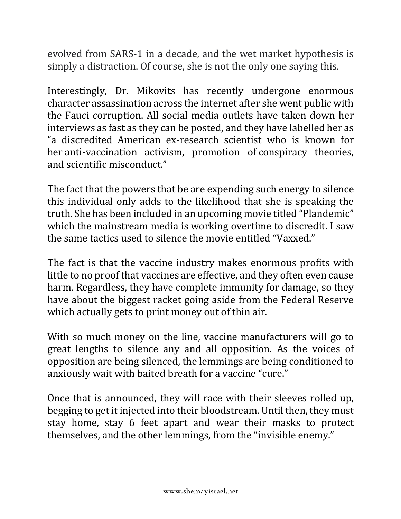evolved from SARS-1 in a decade, and the wet market hypothesis is simply a distraction. Of course, she is not the only one saying this.

Interestingly, Dr. Mikovits has recently undergone enormous character assassination across the internet after she went public with the Fauci corruption. All social media outlets have taken down her interviews as fast as they can be posted, and they have labelled her as "a discredited American ex-research scientist who is known for her anti-vaccination activism, promotion of conspiracy theories, and scientific misconduct."

The fact that the powers that be are expending such energy to silence this individual only adds to the likelihood that she is speaking the truth. She has been included in an upcoming movie titled "Plandemic" which the mainstream media is working overtime to discredit. I saw the same tactics used to silence the movie entitled "Vaxxed."

The fact is that the vaccine industry makes enormous profits with little to no proof that vaccines are effective, and they often even cause harm. Regardless, they have complete immunity for damage, so they have about the biggest racket going aside from the Federal Reserve which actually gets to print money out of thin air.

With so much money on the line, vaccine manufacturers will go to great lengths to silence any and all opposition. As the voices of opposition are being silenced, the lemmings are being conditioned to anxiously wait with baited breath for a vaccine "cure."

Once that is announced, they will race with their sleeves rolled up, begging to get it injected into their bloodstream. Until then, they must stay home, stay 6 feet apart and wear their masks to protect themselves, and the other lemmings, from the "invisible enemy."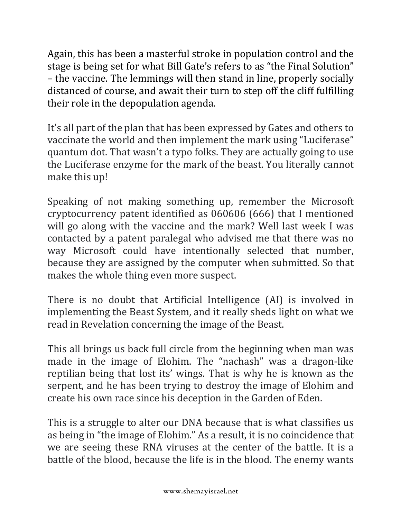Again, this has been a masterful stroke in population control and the stage is being set for what Bill Gate's refers to as "the Final Solution" – the vaccine. The lemmings will then stand in line, properly socially distanced of course, and await their turn to step off the cliff fulfilling their role in the depopulation agenda.

It's all part of the plan that has been expressed by Gates and others to vaccinate the world and then implement the mark using "Luciferase" quantum dot. That wasn't a typo folks. They are actually going to use the Luciferase enzyme for the mark of the beast. You literally cannot make this up!

Speaking of not making something up, remember the Microsoft cryptocurrency patent identified as 060606 (666) that I mentioned will go along with the vaccine and the mark? Well last week I was contacted by a patent paralegal who advised me that there was no way Microsoft could have intentionally selected that number, because they are assigned by the computer when submitted. So that makes the whole thing even more suspect.

There is no doubt that Artificial Intelligence (AI) is involved in implementing the Beast System, and it really sheds light on what we read in Revelation concerning the image of the Beast.

This all brings us back full circle from the beginning when man was made in the image of Elohim. The "nachash" was a dragon-like reptilian being that lost its' wings. That is why he is known as the serpent, and he has been trying to destroy the image of Elohim and create his own race since his deception in the Garden of Eden.

This is a struggle to alter our DNA because that is what classifies us as being in "the image of Elohim." As a result, it is no coincidence that we are seeing these RNA viruses at the center of the battle. It is a battle of the blood, because the life is in the blood. The enemy wants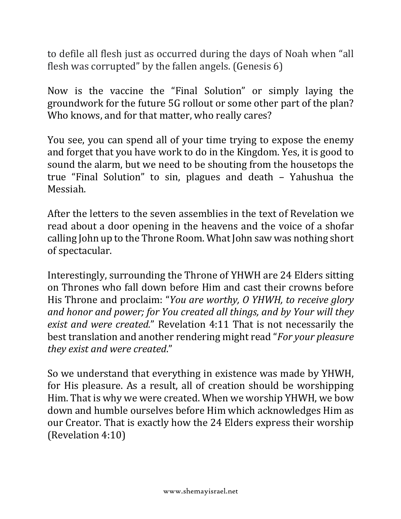to defile all flesh just as occurred during the days of Noah when "all flesh was corrupted" by the fallen angels. (Genesis  $6$ )

Now is the vaccine the "Final Solution" or simply laying the groundwork for the future 5G rollout or some other part of the plan? Who knows, and for that matter, who really cares?

You see, you can spend all of your time trying to expose the enemy and forget that you have work to do in the Kingdom. Yes, it is good to sound the alarm, but we need to be shouting from the housetops the true "Final Solution" to  $sin$ , plagues and death  $-$  Yahushua the Messiah.

After the letters to the seven assemblies in the text of Revelation we read about a door opening in the heavens and the voice of a shofar calling John up to the Throne Room. What John saw was nothing short of spectacular.

Interestingly, surrounding the Throne of YHWH are 24 Elders sitting on Thrones who fall down before Him and cast their crowns before His Throne and proclaim: "*You are worthy, O YHWH, to receive glory* and honor and power; for You created all things, and by Your will they *exist and were created.*" Revelation 4:11 That is not necessarily the best translation and another rendering might read "*For your pleasure they exist and were created*."

So we understand that everything in existence was made by YHWH, for His pleasure. As a result, all of creation should be worshipping Him. That is why we were created. When we worship YHWH, we bow down and humble ourselves before Him which acknowledges Him as our Creator. That is exactly how the 24 Elders express their worship (Revelation 4:10)